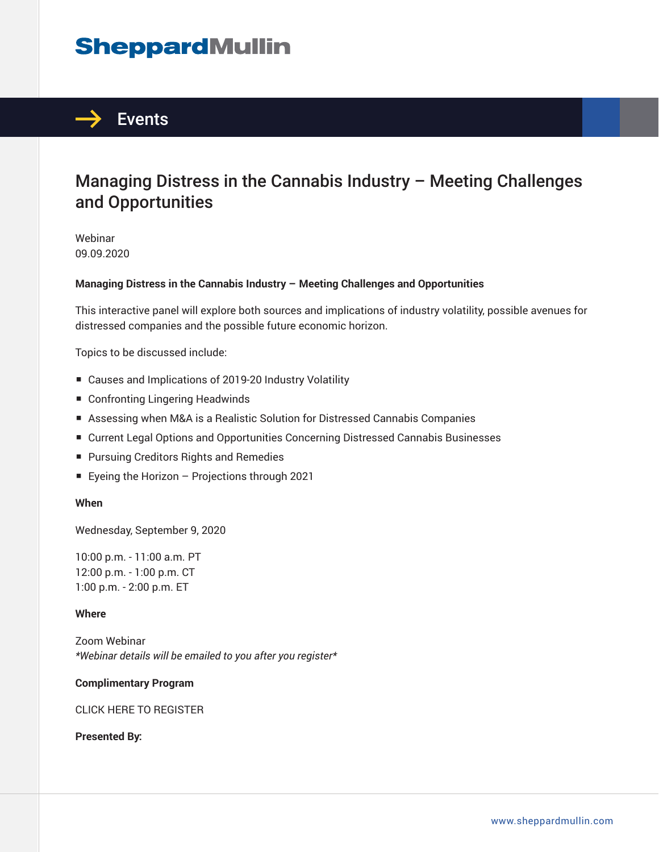# **SheppardMullin**



# Managing Distress in the Cannabis Industry – Meeting Challenges and Opportunities

Webinar 09.09.2020

#### **Managing Distress in the Cannabis Industry – Meeting Challenges and Opportunities**

This interactive panel will explore both sources and implications of industry volatility, possible avenues for distressed companies and the possible future economic horizon.

Topics to be discussed include:

- Causes and Implications of 2019-20 Industry Volatility
- Confronting Lingering Headwinds
- Assessing when M&A is a Realistic Solution for Distressed Cannabis Companies
- Current Legal Options and Opportunities Concerning Distressed Cannabis Businesses
- Pursuing Creditors Rights and Remedies
- Eyeing the Horizon Projections through 2021

#### **When**

Wednesday, September 9, 2020

10:00 p.m. - 11:00 a.m. PT 12:00 p.m. - 1:00 p.m. CT 1:00 p.m. - 2:00 p.m. ET

#### **Where**

Zoom Webinar *\*Webinar details will be emailed to you after you register\**

#### **Complimentary Program**

#### CLICK HERE TO REGISTER

**Presented By:**